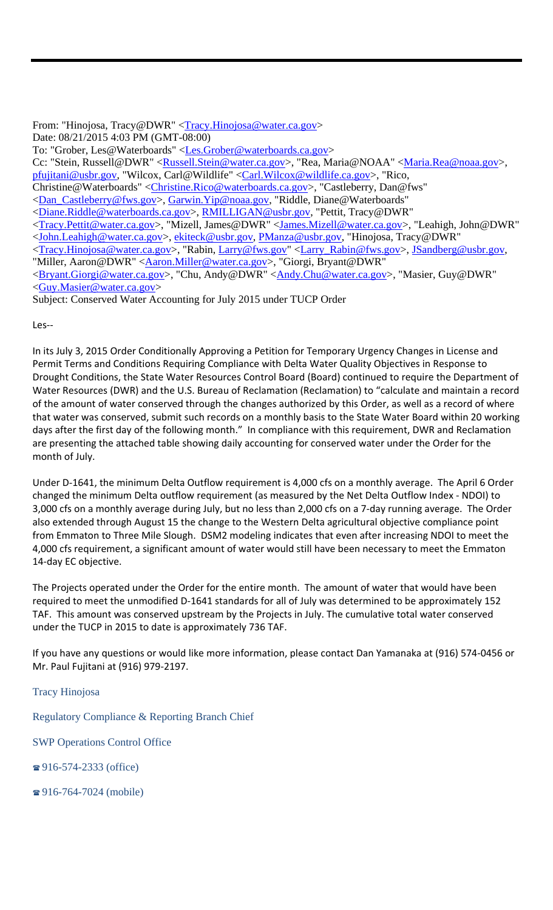From: "Hinojosa, Tracy@DWR" <Tracy.Hinojosa@water.ca.gov> Date: 08/21/2015 4:03 PM (GMT-08:00) To: "Grober, Les@Waterboards" <Les.Grober@waterboards.ca.gov> Cc: "Stein, Russell@DWR" <Russell.Stein@water.ca.gov>, "Rea, Maria@NOAA" <Maria.Rea@noaa.gov>, pfujitani@usbr.gov, "Wilcox, Carl@Wildlife" <Carl.Wilcox@wildlife.ca.gov>, "Rico, Christine@Waterboards" <Christine.Rico@waterboards.ca.gov>, "Castleberry, Dan@fws" <Dan\_Castleberry@fws.gov>, Garwin.Yip@noaa.gov, "Riddle, Diane@Waterboards" <Diane.Riddle@waterboards.ca.gov>, RMILLIGAN@usbr.gov, "Pettit, Tracy@DWR" <Tracy.Pettit@water.ca.gov>, "Mizell, James@DWR" <James.Mizell@water.ca.gov>, "Leahigh, John@DWR" <John.Leahigh@water.ca.gov>, ekiteck@usbr.gov, PManza@usbr.gov, "Hinojosa, Tracy@DWR" <Tracy.Hinojosa@water.ca.gov>, "Rabin, Larry@fws.gov" <Larry\_Rabin@fws.gov>, JSandberg@usbr.gov, "Miller, Aaron@DWR" <Aaron.Miller@water.ca.gov>, "Giorgi, Bryant@DWR" <Bryant.Giorgi@water.ca.gov>, "Chu, Andy@DWR" <Andy.Chu@water.ca.gov>, "Masier, Guy@DWR" <Guy.Masier@water.ca.gov>

Subject: Conserved Water Accounting for July 2015 under TUCP Order

Les‐‐

In its July 3, 2015 Order Conditionally Approving a Petition for Temporary Urgency Changes in License and Permit Terms and Conditions Requiring Compliance with Delta Water Quality Objectives in Response to Drought Conditions, the State Water Resources Control Board (Board) continued to require the Department of Water Resources (DWR) and the U.S. Bureau of Reclamation (Reclamation) to "calculate and maintain a record of the amount of water conserved through the changes authorized by this Order, as well as a record of where that water was conserved, submit such records on a monthly basis to the State Water Board within 20 working days after the first day of the following month." In compliance with this requirement, DWR and Reclamation are presenting the attached table showing daily accounting for conserved water under the Order for the month of July.

Under D‐1641, the minimum Delta Outflow requirement is 4,000 cfs on a monthly average. The April 6 Order changed the minimum Delta outflow requirement (as measured by the Net Delta Outflow Index ‐ NDOI) to 3,000 cfs on a monthly average during July, but no less than 2,000 cfs on a 7‐day running average. The Order also extended through August 15 the change to the Western Delta agricultural objective compliance point from Emmaton to Three Mile Slough. DSM2 modeling indicates that even after increasing NDOI to meet the 4,000 cfs requirement, a significant amount of water would still have been necessary to meet the Emmaton 14‐day EC objective.

The Projects operated under the Order for the entire month. The amount of water that would have been required to meet the unmodified D‐1641 standards for all of July was determined to be approximately 152 TAF. This amount was conserved upstream by the Projects in July. The cumulative total water conserved under the TUCP in 2015 to date is approximately 736 TAF.

If you have any questions or would like more information, please contact Dan Yamanaka at (916) 574‐0456 or Mr. Paul Fujitani at (916) 979‐2197.

Regulatory Compliance & Reporting Branch Chief

SWP Operations Control Office

 $\approx 916 - 574 - 2333$  (office)

Tracy Hinojosa

916-764-7024 (mobile)